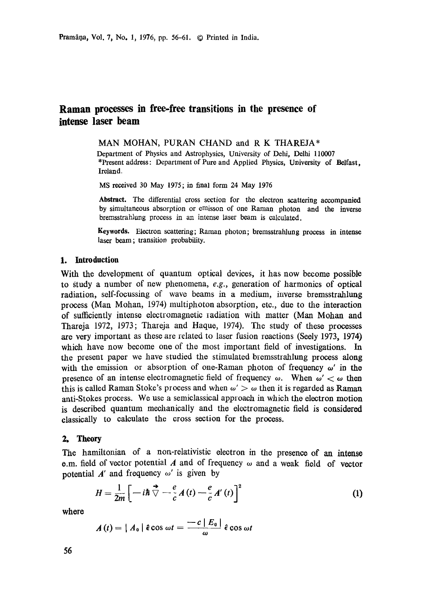Pramāņa, Vol. 7, No. 1, 1976, pp. 56-61. © Printed in India.

# **Raman processes in free-free transitions in the presence of intense laser beam**

MAN MOHAN, PURAN CHAND and R K THAREJA\*

Department of Physics and Astrophysics, University of Dehi, Delhi 110007 \*Present address: Department of Pure and Applied Physics, University of Belfast, Ireland.

MS received 30 May 1975; in final form 24 May 1976

**Abstract.** The differential cross section for the electron scattering accompanied by simultaneous absorption or emisson of one Raman photon and the inverse bremsstrahlung process in an intense laser beam is calculated.

Keywords. Electron scattering; Raman photon; bremsstrahlung process in **intense**  laser beam; transition probability.

## **1. Introduction**

With the development of quantum optical devices, it has now become possible to study a number of new phenomena, *e.g.,* generation of harmonics of optical radiation, self-focussing of wave beams in a medium, inverse bremsstrahlung process (Man Mohan, 1974) multiphoton absorption, etc., due to the interaction of sufficiently intense electromagnetic radiation with matter (Man Mohan and Tharoja 1972, 1973; Thareja and Haque, 1974). The study of these processes are very important as these are related to laser fusion reactions (Seoly 1973, 1974) which have now become one of the most important field of investigations. In the present paper we have studied the stimulated bremsstrahlung process along with the emission or absorption of one-Raman photon of frequency  $\omega'$  in the presence of an intense electromagnetic field of frequency  $\omega$ . When  $\omega' < \omega$  then this is called Raman Stoke's process and when  $\omega' > \omega$  then it is regarded as Raman anti-Stokes process. We use a semiclassical approach in which the electron motion is described quantum mechanically and the dectromagnetic field is considered classically to calculate the cross section for the process.

## **2. Theory**

The hamiltonian of a non-relativistic electron in the presence of an intense e.m. field of vector potential A and of frequency  $\omega$  and a weak field of vector potential  $A'$  and frequency  $\omega'$  is given by

$$
H = \frac{1}{2m} \left[ -i\hbar \stackrel{\rightarrow}{\nabla} - \frac{e}{c} A(t) - \frac{e}{c} A'(t) \right]^2
$$
 (1)

**whore** 

$$
A(t) = | A_0 | \hat{\epsilon} \cos \omega t = \frac{-c | E_0 |}{\omega} \hat{\epsilon} \cos \omega t
$$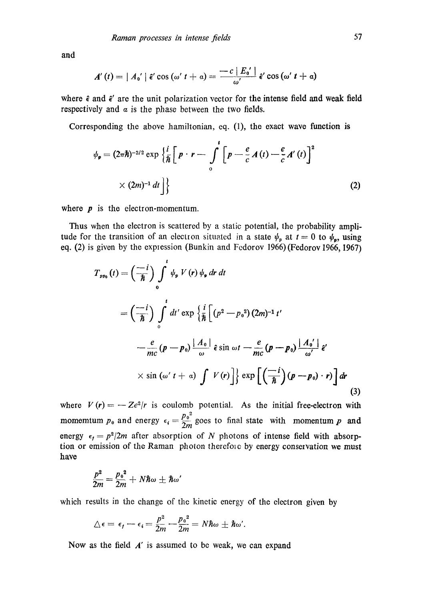and

$$
A'(t) = | A_0' | \hat{\epsilon}' \cos (\omega' t + a) = \frac{-c | E_0' |}{\omega'} \hat{\epsilon}' \cos (\omega' t + a)
$$

where  $\hat{\epsilon}$  and  $\hat{\epsilon}'$  are the unit polarization vector for the intense field and weak field respectively and  $\alpha$  is the phase between the two fields.

Corresponding the above hamiltonian, eq. (1), the exact wave function is

$$
\psi_{p} = (2\pi\hbar)^{-3/2} \exp\left\{ \frac{i}{\hbar} \left[ p \cdot r - \int_{0}^{t} \left[ p - \frac{e}{c} A(t) - \frac{e}{c} A'(t) \right]^{2} \right. \right.
$$
  
 
$$
\times (2m)^{-1} dt \right\}
$$
 (2)

where  $p$  is the electron-momentum.

Thus when the electron is scattered by a static potential, the probability amplitude for the transition of an electron situated in a state  $\psi_p$  at  $t = 0$  to  $\psi_p$ , using eq. (2) is given by the explession (Bunkin and Fedorov 1966) (Fedorov 1966, 1967)

$$
T_{pp_0}(t) = \left(\frac{-i}{\hbar}\right) \int_0^t \psi_p V(r) \psi_p dr dt
$$
  
\n
$$
= \left(\frac{-i}{\hbar}\right) \int_0^t dt' \exp\left\{\frac{i}{\hbar} \left[ (p^2 - p_0^2) (2m)^{-1} t' - \frac{e}{mc} (p - p_0) \frac{|A_0|}{\omega} \right] \hat{\epsilon} \sin \omega t - \frac{e}{mc} (p - p_0) \frac{|A_0|}{\omega'} \hat{\epsilon}'
$$
  
\n
$$
\times \sin (\omega' t + \alpha) \int V(r) \Big] \exp\left[ \left(\frac{-i}{\hbar}\right) (p - p_0) \cdot r \right] dr
$$
\n(3)

where  $V(r) = -Ze^2/r$  is coulomb potential. As the initial free-electron with momemtum  $p_0$  and energy  $\epsilon_i = \frac{p_0^2}{2\pi}$  goes to final state with momentum p and energy  $\epsilon_t = p^2/2m$  after absorption of N photons of intense field with absorption or emission of the Raman photon therefore by energy conservation we must have

$$
\frac{p^2}{2m} = \frac{{p_0}^2}{2m} + N\hbar\omega \pm \hbar\omega'
$$

which results in the change of the kinetic energy of the electron given by

$$
\triangle \epsilon = \epsilon_f - \epsilon_i = \frac{p^2}{2m} - \frac{p_0^2}{2m} = N\hbar\omega \pm \hbar\omega'.
$$

Now as the field  $A'$  is assumed to be weak, we can expand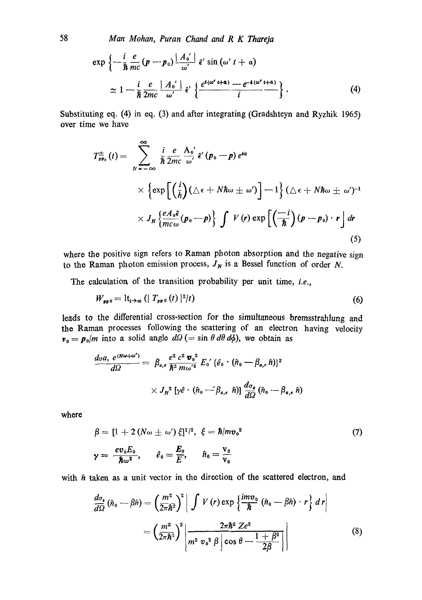Man Mohan, Puran Chand and R K Thareja

$$
\exp\left\{-\frac{i}{\hbar}\frac{e}{mc}\left(p-p_0\right)\frac{|A_0'|}{\omega'}\hat{\epsilon}'\sin\left(\omega' t+a\right)\right.\n\approx 1-\frac{i}{\hbar}\frac{e}{2mc}\frac{|A_0'|}{\omega'}\hat{\epsilon}'\left\{\frac{e^{i(\omega' t+a)}-e^{-i(\omega' t+a)}}{i}\right\}.
$$
\n(4)

Substituting eq. (4) in eq. (3) and after integrating (Gradshteyn and Ryzhik 1965) over time we have

$$
T_{pp_0}^{\pm}(t) = \sum_{N=-\infty}^{\infty} \frac{i}{\hbar} \frac{e}{2mc} \frac{A_0'}{\omega'} \hat{\epsilon}' (p_0 - p) e^{i\alpha}
$$
  
 
$$
\times \left\{ \exp\left[ \left( \frac{i}{\hbar} \right) (\triangle \epsilon + N \hbar \omega \pm \omega') \right] - 1 \right\} (\triangle \epsilon + N \hbar \omega \pm \omega')^{-1}
$$
  
 
$$
\times J_N \left\{ \frac{e A_0 \hat{\epsilon}}{mc \omega} (p_0 - p) \right\} \int V(r) \exp\left[ \left( \frac{-i}{\hbar} \right) (p - p_0) \cdot r \right] dr
$$
 (5)

where the positive sign refers to Raman photon absorption and the negative sign to the Raman photon emission process,  $J_N$  is a Bessel function of order N.

The calculation of the transition probability per unit time, i.e.,

$$
W_{\mathfrak{sp}\,0} = \mathrm{lt}_{t\to\infty} \left( | \ T_{\mathfrak{sp}\,0} \left( t \right) |^{2} / t \right) \tag{6}
$$

leads to the differential cross-section for the simultaneous bremsstrahlung and the Raman processes following the scattering of an electron having velocity  $v_0 = p_0/m$  into a solid angle  $d\Omega$  (= sin  $\theta d\theta d\phi$ ), we obtain as

$$
\frac{d\sigma a, e^{iN\omega+\omega'}}{d\Omega} = \beta_{a,e} \frac{e^2 c^2 \mathbf{v}_0^2}{\hbar^2 m \omega'^4} E_0' {\{\hat{e}_0 \cdot (\hat{n}_0 - \beta_{a,e} \hat{n})\}}^2
$$
  
 
$$
\times J_N^2 [\gamma \hat{e} \cdot (\hat{n}_0 - \beta_{a,e} \hat{n})] \frac{d\sigma_s}{d\Omega} (\hat{n}_0 - \beta_{a,e} \hat{n})
$$

where

$$
\beta = [1 + 2(N\omega \pm \omega') \xi]^{1/2}, \xi = \hbar/mv_0^2
$$
  

$$
\gamma = \frac{ev_0 E_0}{\hbar \omega^2}, \qquad \ell_0 = \frac{E_0}{E}, \qquad \hat{n}_0 = \frac{v_0}{v_0}
$$
 (7)

with  $\hat{n}$  taken as a unit vector in the direction of the scattered electron, and

$$
\frac{d\sigma_s}{d\Omega}(\hat{n}_0 - \beta \hat{n}) = \left(\frac{m^2}{2\pi\hbar^2}\right)^2 \left| \int V(r) \exp\left\{\frac{imv_0}{\hbar}(\hat{n}_0 - \beta \hat{n}) \cdot r\right\} dr \right|
$$

$$
= \left(\frac{m^2}{2\pi\hbar^2}\right)^2 \left| \frac{2\pi\hbar^2 Ze^2}{m^2 v_0^2 \beta \left|\cos\theta - \frac{1+\beta^2}{2\beta}\right|} \right| \tag{8}
$$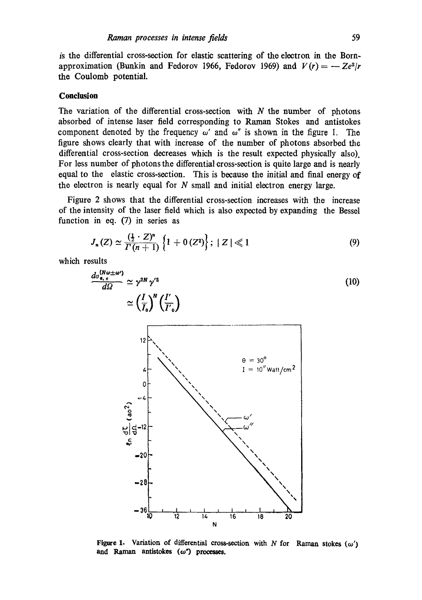is the differential cross-section for elastic scattering of the electron in the Bornapproximation (Bunkin and Fedorov 1966, Fedorov 1969) and  $V(r) = -Ze^2/r$ the Coulomb potential.

### **Conclusion**

The variation of the differential cross-section with  $N$  the number of photons absorbed of intense laser field corresponding to Raman Stokes and antistokes component denoted by the frequency  $\omega'$  and  $\omega''$  is shown in the figure 1. The figure shows clearly that with increase of the number of photons absorbed the differential cross-section decreases which is the result expected physically also). For less number of photons the differential cross-section is quite large and is nearly equal to the elastic cross-section. This is because the initial and final energy of the electron is nearly equal for  $N$  small and initial electron energy large.

Figure 2 shows that the differential cross-section increases with the increase of the intensity of the laser field which is also expected by expanding the Bessol function in eq. (7) in series as

$$
J_n(Z) \simeq \frac{(\frac{1}{2} \cdot Z)^n}{\Gamma(n+1)} \left\{ 1 + 0\,(Z^2) \right\}; \; |Z| \ll 1 \tag{9}
$$

which results

$$
\frac{d\sigma_{\mathbf{e},\mathbf{e}}^{(N\omega=\omega)}}{d\Omega} \simeq \gamma^{2N} \gamma'^2
$$
\n
$$
\simeq \left(\frac{I}{I_0}\right)^N \left(\frac{I'}{I_0}\right)
$$
\n
$$
\simeq \left(\frac{I}{I_0}\right)^N \left(\frac{I'}{I_0}\right)
$$
\n
$$
\simeq \frac{1}{I_0} \frac{\Theta}{I_0} = 30^\circ
$$
\n
$$
\frac{1}{I_0} = 10^{\circ} \text{Watt/cm}^2
$$
\n
$$
\frac{1}{\Theta} = \frac{10^{\circ}}{\omega}
$$
\n
$$
\frac{1}{\Theta} = \frac{10^{\circ}}{\omega}
$$
\n
$$
\frac{10^{\circ}}{\omega}
$$



Figure 1. Variation of differential cross-section with N for Raman stokes  $(\omega')$ and Raman antistokes (w<sup>\*</sup>) processes.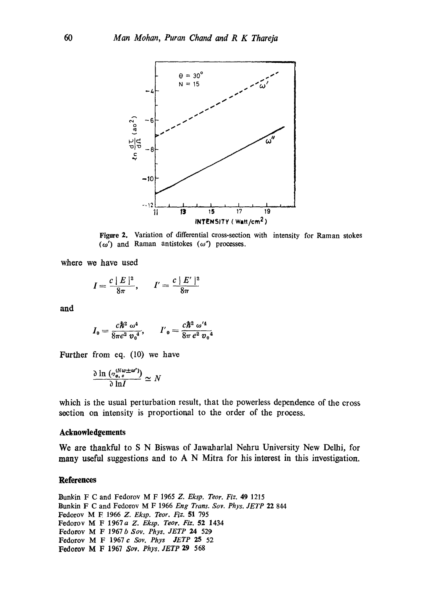

**Figure 2.** Variation of differential cross-section with intensity for Raman stokes  $(\omega')$  and Raman antistokes  $(\omega'')$  processes.

where we have used

$$
I=\frac{c\mid E\mid^2}{8\pi},\qquad I'=\frac{c\mid E'\mid^2}{8\pi}
$$

and

$$
I_0 = \frac{c\hbar^2 \omega^4}{8\pi e^2 v_0^4}, \qquad I'_{0} = \frac{c\hbar^2 \omega'^4}{8\pi e^2 v_0^4}
$$

Further from eq. (10) we have

$$
\frac{\partial \ln \left( \sigma_{a,\; \theta}^{(N\omega \pm \omega')} \right)}{\partial \ln I} \simeq N
$$

which is the usual perturbation result, that the powerless dependence of the cross section on intensity is proportional to the order of the process.

#### **Acknowledgements**

**We are thankful to S N Biswas of Jawaharlal Nehru University New Delhi, for many useful suggestions and to A N Mitra for his interest in this investigation.** 

#### **References**

Bunkin F C and Fedorov M F 1965 *Z. Eksp. Teor. Fiz.* 49 1215 Bunkin F C and Fedorov M F 1966 *Eng Trans. Soy. Phys. JETP* 22 844 Fedorov M E 1966 *Z. Eksp. Teor. Fiz.* 51 795 Fedorov M F 1967a *Z. Eksp. Teor. Fiz.* 52 1434 Fedorov M F 1967 *b Soy. Phys. JETP 24* 529 Fedorov M F 1967c *Soy. Phys JETP 25* 52 Fedorov M F 1967 *Soy. Phys. JETP* 29 568